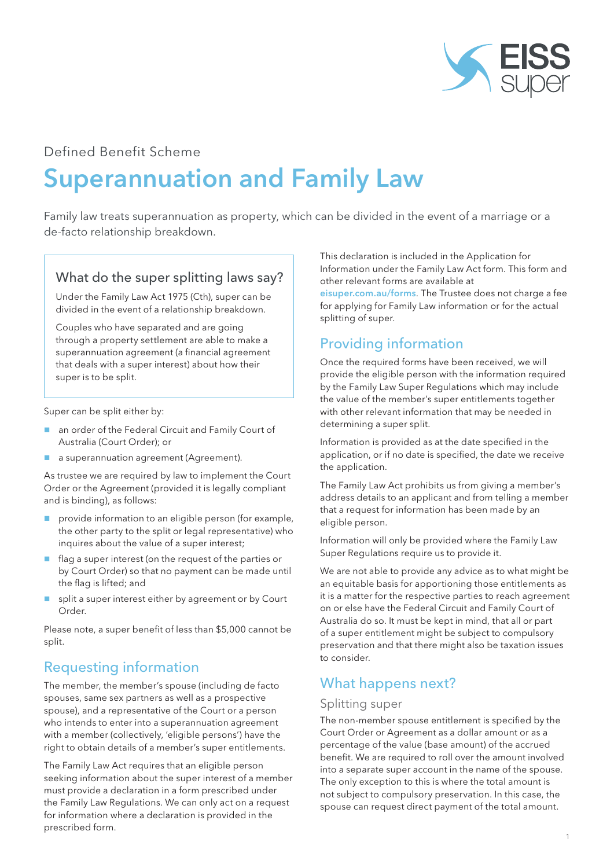

## Defined Benefit Scheme

# Superannuation and Family Law

Family law treats superannuation as property, which can be divided in the event of a marriage or a de-facto relationship breakdown.

#### What do the super splitting laws say?

Under the Family Law Act 1975 (Cth), super can be divided in the event of a relationship breakdown.

Couples who have separated and are going through a property settlement are able to make a superannuation agreement (a financial agreement that deals with a super interest) about how their super is to be split.

Super can be split either by:

- an order of the Federal Circuit and Family Court of Australia (Court Order); or
- **a** a superannuation agreement (Agreement).

As trustee we are required by law to implement the Court Order or the Agreement (provided it is legally compliant and is binding), as follows:

- provide information to an eligible person (for example, the other party to the split or legal representative) who inquires about the value of a super interest;
- $\blacksquare$  flag a super interest (on the request of the parties or by Court Order) so that no payment can be made until the flag is lifted; and
- split a super interest either by agreement or by Court Order.

Please note, a super benefit of less than \$5,000 cannot be split.

# Requesting information

The member, the member's spouse (including de facto spouses, same sex partners as well as a prospective spouse), and a representative of the Court or a person who intends to enter into a superannuation agreement with a member (collectively, 'eligible persons') have the right to obtain details of a member's super entitlements.

The Family Law Act requires that an eligible person seeking information about the super interest of a member must provide a declaration in a form prescribed under the Family Law Regulations. We can only act on a request for information where a declaration is provided in the prescribed form.

This declaration is included in the Application for Information under the Family Law Act form. This form and other relevant forms are available at

eisuper.com.au/forms. The Trustee does not charge a fee for applying for Family Law information or for the actual splitting of super.

# Providing information

Once the required forms have been received, we will provide the eligible person with the information required by the Family Law Super Regulations which may include the value of the member's super entitlements together with other relevant information that may be needed in determining a super split.

Information is provided as at the date specified in the application, or if no date is specified, the date we receive the application.

The Family Law Act prohibits us from giving a member's address details to an applicant and from telling a member that a request for information has been made by an eligible person.

Information will only be provided where the Family Law Super Regulations require us to provide it.

We are not able to provide any advice as to what might be an equitable basis for apportioning those entitlements as it is a matter for the respective parties to reach agreement on or else have the Federal Circuit and Family Court of Australia do so. It must be kept in mind, that all or part of a super entitlement might be subject to compulsory preservation and that there might also be taxation issues to consider.

# What happens next?

#### Splitting super

The non-member spouse entitlement is specified by the Court Order or Agreement as a dollar amount or as a percentage of the value (base amount) of the accrued benefit. We are required to roll over the amount involved into a separate super account in the name of the spouse. The only exception to this is where the total amount is not subject to compulsory preservation. In this case, the spouse can request direct payment of the total amount.